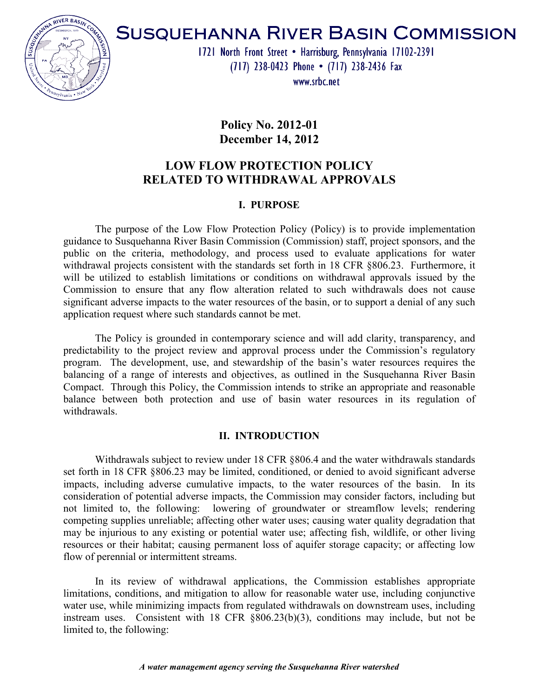

# **SUSQUEHANNA RIVER BASIN COMMISSION**

1721 North Front Street • Harrisburg, Pennsylvania 17102-2391 (717) 238-0423 Phone • (717) 238-2436 Fax

www.srhc.net

**Policy No. 2012-01 December 14, 2012** 

# **LOW FLOW PROTECTION POLICY RELATED TO WITHDRAWAL APPROVALS**

## **I. PURPOSE**

The purpose of the Low Flow Protection Policy (Policy) is to provide implementation guidance to Susquehanna River Basin Commission (Commission) staff, project sponsors, and the public on the criteria, methodology, and process used to evaluate applications for water withdrawal projects consistent with the standards set forth in 18 CFR §806.23. Furthermore, it will be utilized to establish limitations or conditions on withdrawal approvals issued by the Commission to ensure that any flow alteration related to such withdrawals does not cause significant adverse impacts to the water resources of the basin, or to support a denial of any such application request where such standards cannot be met.

The Policy is grounded in contemporary science and will add clarity, transparency, and predictability to the project review and approval process under the Commission's regulatory program. The development, use, and stewardship of the basin's water resources requires the balancing of a range of interests and objectives, as outlined in the Susquehanna River Basin Compact. Through this Policy, the Commission intends to strike an appropriate and reasonable balance between both protection and use of basin water resources in its regulation of withdrawals.

### **II. INTRODUCTION**

Withdrawals subject to review under 18 CFR §806.4 and the water withdrawals standards set forth in 18 CFR §806.23 may be limited, conditioned, or denied to avoid significant adverse impacts, including adverse cumulative impacts, to the water resources of the basin. In its consideration of potential adverse impacts, the Commission may consider factors, including but not limited to, the following: lowering of groundwater or streamflow levels; rendering competing supplies unreliable; affecting other water uses; causing water quality degradation that may be injurious to any existing or potential water use; affecting fish, wildlife, or other living resources or their habitat; causing permanent loss of aquifer storage capacity; or affecting low flow of perennial or intermittent streams.

In its review of withdrawal applications, the Commission establishes appropriate limitations, conditions, and mitigation to allow for reasonable water use, including conjunctive water use, while minimizing impacts from regulated withdrawals on downstream uses, including instream uses. Consistent with 18 CFR §806.23(b)(3), conditions may include, but not be limited to, the following: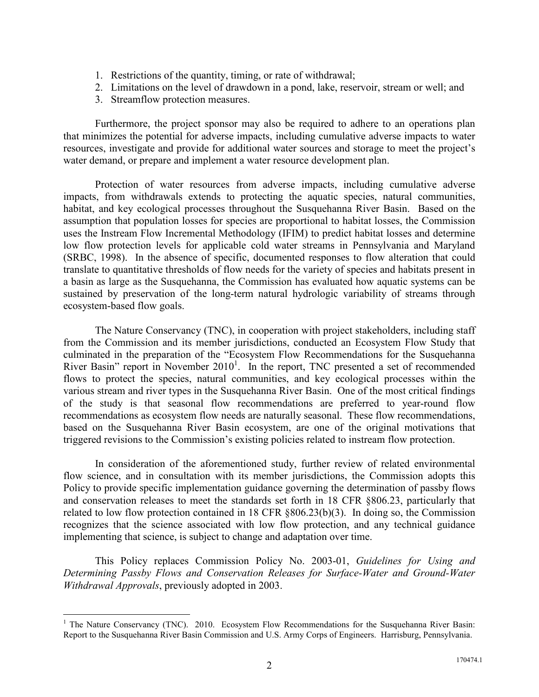- 1. Restrictions of the quantity, timing, or rate of withdrawal;
- 2. Limitations on the level of drawdown in a pond, lake, reservoir, stream or well; and
- 3. Streamflow protection measures.

Furthermore, the project sponsor may also be required to adhere to an operations plan that minimizes the potential for adverse impacts, including cumulative adverse impacts to water resources, investigate and provide for additional water sources and storage to meet the project's water demand, or prepare and implement a water resource development plan.

Protection of water resources from adverse impacts, including cumulative adverse impacts, from withdrawals extends to protecting the aquatic species, natural communities, habitat, and key ecological processes throughout the Susquehanna River Basin. Based on the assumption that population losses for species are proportional to habitat losses, the Commission uses the Instream Flow Incremental Methodology (IFIM) to predict habitat losses and determine low flow protection levels for applicable cold water streams in Pennsylvania and Maryland (SRBC, 1998). In the absence of specific, documented responses to flow alteration that could translate to quantitative thresholds of flow needs for the variety of species and habitats present in a basin as large as the Susquehanna, the Commission has evaluated how aquatic systems can be sustained by preservation of the long-term natural hydrologic variability of streams through ecosystem-based flow goals.

The Nature Conservancy (TNC), in cooperation with project stakeholders, including staff from the Commission and its member jurisdictions, conducted an Ecosystem Flow Study that culminated in the preparation of the "Ecosystem Flow Recommendations for the Susquehanna River Basin" report in November  $2010<sup>1</sup>$ . In the report, TNC presented a set of recommended flows to protect the species, natural communities, and key ecological processes within the various stream and river types in the Susquehanna River Basin. One of the most critical findings of the study is that seasonal flow recommendations are preferred to year-round flow recommendations as ecosystem flow needs are naturally seasonal. These flow recommendations, based on the Susquehanna River Basin ecosystem, are one of the original motivations that triggered revisions to the Commission's existing policies related to instream flow protection.

In consideration of the aforementioned study, further review of related environmental flow science, and in consultation with its member jurisdictions, the Commission adopts this Policy to provide specific implementation guidance governing the determination of passby flows and conservation releases to meet the standards set forth in 18 CFR §806.23, particularly that related to low flow protection contained in 18 CFR §806.23(b)(3). In doing so, the Commission recognizes that the science associated with low flow protection, and any technical guidance implementing that science, is subject to change and adaptation over time.

This Policy replaces Commission Policy No. 2003-01, *Guidelines for Using and Determining Passby Flows and Conservation Releases for Surface-Water and Ground-Water Withdrawal Approvals*, previously adopted in 2003.

 $\overline{a}$ 

<sup>&</sup>lt;sup>1</sup> The Nature Conservancy (TNC). 2010. Ecosystem Flow Recommendations for the Susquehanna River Basin: Report to the Susquehanna River Basin Commission and U.S. Army Corps of Engineers. Harrisburg, Pennsylvania.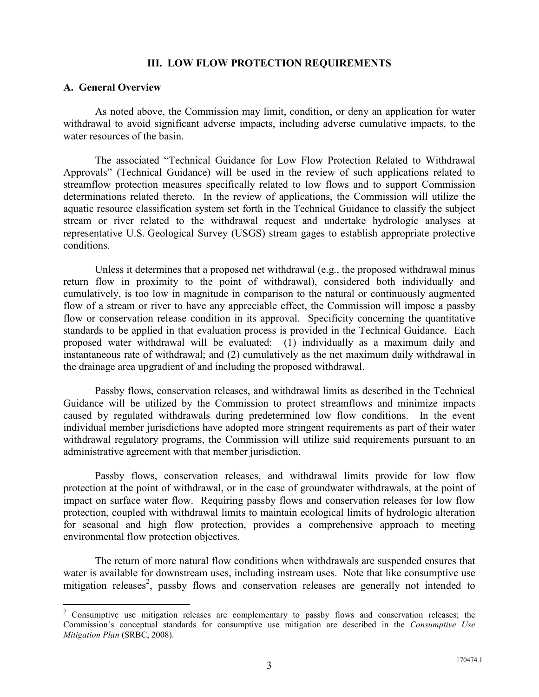#### **III. LOW FLOW PROTECTION REQUIREMENTS**

#### **A. General Overview**

 $\overline{a}$ 

As noted above, the Commission may limit, condition, or deny an application for water withdrawal to avoid significant adverse impacts, including adverse cumulative impacts, to the water resources of the basin.

The associated "Technical Guidance for Low Flow Protection Related to Withdrawal Approvals" (Technical Guidance) will be used in the review of such applications related to streamflow protection measures specifically related to low flows and to support Commission determinations related thereto. In the review of applications, the Commission will utilize the aquatic resource classification system set forth in the Technical Guidance to classify the subject stream or river related to the withdrawal request and undertake hydrologic analyses at representative U.S. Geological Survey (USGS) stream gages to establish appropriate protective conditions.

Unless it determines that a proposed net withdrawal (e.g., the proposed withdrawal minus return flow in proximity to the point of withdrawal), considered both individually and cumulatively, is too low in magnitude in comparison to the natural or continuously augmented flow of a stream or river to have any appreciable effect, the Commission will impose a passby flow or conservation release condition in its approval. Specificity concerning the quantitative standards to be applied in that evaluation process is provided in the Technical Guidance. Each proposed water withdrawal will be evaluated: (1) individually as a maximum daily and instantaneous rate of withdrawal; and (2) cumulatively as the net maximum daily withdrawal in the drainage area upgradient of and including the proposed withdrawal.

Passby flows, conservation releases, and withdrawal limits as described in the Technical Guidance will be utilized by the Commission to protect streamflows and minimize impacts caused by regulated withdrawals during predetermined low flow conditions. In the event individual member jurisdictions have adopted more stringent requirements as part of their water withdrawal regulatory programs, the Commission will utilize said requirements pursuant to an administrative agreement with that member jurisdiction.

Passby flows, conservation releases, and withdrawal limits provide for low flow protection at the point of withdrawal, or in the case of groundwater withdrawals, at the point of impact on surface water flow. Requiring passby flows and conservation releases for low flow protection, coupled with withdrawal limits to maintain ecological limits of hydrologic alteration for seasonal and high flow protection, provides a comprehensive approach to meeting environmental flow protection objectives.

The return of more natural flow conditions when withdrawals are suspended ensures that water is available for downstream uses, including instream uses. Note that like consumptive use mitigation releases<sup>2</sup>, passby flows and conservation releases are generally not intended to

<sup>&</sup>lt;sup>2</sup> Consumptive use mitigation releases are complementary to passby flows and conservation releases; the Commission's conceptual standards for consumptive use mitigation are described in the *Consumptive Use Mitigation Plan* (SRBC, 2008).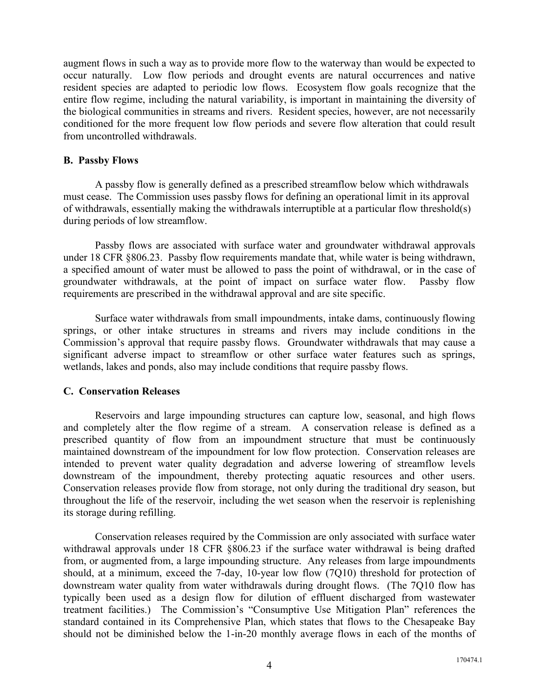augment flows in such a way as to provide more flow to the waterway than would be expected to occur naturally. Low flow periods and drought events are natural occurrences and native resident species are adapted to periodic low flows. Ecosystem flow goals recognize that the entire flow regime, including the natural variability, is important in maintaining the diversity of the biological communities in streams and rivers. Resident species, however, are not necessarily conditioned for the more frequent low flow periods and severe flow alteration that could result from uncontrolled withdrawals.

#### **B. Passby Flows**

 A passby flow is generally defined as a prescribed streamflow below which withdrawals must cease. The Commission uses passby flows for defining an operational limit in its approval of withdrawals, essentially making the withdrawals interruptible at a particular flow threshold(s) during periods of low streamflow.

 Passby flows are associated with surface water and groundwater withdrawal approvals under 18 CFR §806.23. Passby flow requirements mandate that, while water is being withdrawn, a specified amount of water must be allowed to pass the point of withdrawal, or in the case of groundwater withdrawals, at the point of impact on surface water flow. Passby flow requirements are prescribed in the withdrawal approval and are site specific.

 Surface water withdrawals from small impoundments, intake dams, continuously flowing springs, or other intake structures in streams and rivers may include conditions in the Commission's approval that require passby flows. Groundwater withdrawals that may cause a significant adverse impact to streamflow or other surface water features such as springs, wetlands, lakes and ponds, also may include conditions that require passby flows.

#### **C. Conservation Releases**

 Reservoirs and large impounding structures can capture low, seasonal, and high flows and completely alter the flow regime of a stream. A conservation release is defined as a prescribed quantity of flow from an impoundment structure that must be continuously maintained downstream of the impoundment for low flow protection. Conservation releases are intended to prevent water quality degradation and adverse lowering of streamflow levels downstream of the impoundment, thereby protecting aquatic resources and other users. Conservation releases provide flow from storage, not only during the traditional dry season, but throughout the life of the reservoir, including the wet season when the reservoir is replenishing its storage during refilling.

 Conservation releases required by the Commission are only associated with surface water withdrawal approvals under 18 CFR  $\S 806.23$  if the surface water withdrawal is being drafted from, or augmented from, a large impounding structure. Any releases from large impoundments should, at a minimum, exceed the 7-day, 10-year low flow (7Q10) threshold for protection of downstream water quality from water withdrawals during drought flows. (The 7Q10 flow has typically been used as a design flow for dilution of effluent discharged from wastewater treatment facilities.) The Commission's "Consumptive Use Mitigation Plan" references the standard contained in its Comprehensive Plan, which states that flows to the Chesapeake Bay should not be diminished below the 1-in-20 monthly average flows in each of the months of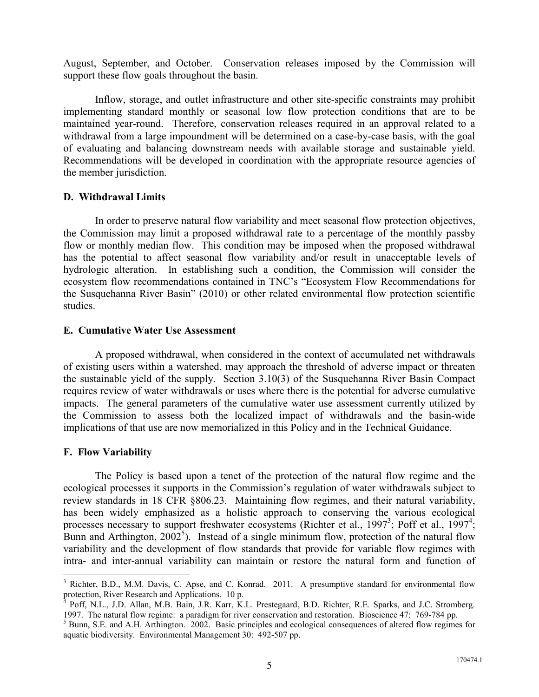August, September, and October. Conservation releases imposed by the Commission will support these flow goals throughout the basin.

 Inflow, storage, and outlet infrastructure and other site-specific constraints may prohibit implementing standard monthly or seasonal low flow protection conditions that are to be maintained year-round. Therefore, conservation releases required in an approval related to a withdrawal from a large impoundment will be determined on a case-by-case basis, with the goal of evaluating and balancing downstream needs with available storage and sustainable yield. Recommendations will be developed in coordination with the appropriate resource agencies of the member jurisdiction.

#### **D. Withdrawal Limits**

 In order to preserve natural flow variability and meet seasonal flow protection objectives, the Commission may limit a proposed withdrawal rate to a percentage of the monthly passby flow or monthly median flow. This condition may be imposed when the proposed withdrawal has the potential to affect seasonal flow variability and/or result in unacceptable levels of hydrologic alteration. In establishing such a condition, the Commission will consider the ecosystem flow recommendations contained in TNC's "Ecosystem Flow Recommendations for the Susquehanna River Basin" (2010) or other related environmental flow protection scientific studies.

#### **E. Cumulative Water Use Assessment**

A proposed withdrawal, when considered in the context of accumulated net withdrawals of existing users within a watershed, may approach the threshold of adverse impact or threaten the sustainable yield of the supply. Section 3.10(3) of the Susquehanna River Basin Compact requires review of water withdrawals or uses where there is the potential for adverse cumulative impacts. The general parameters of the cumulative water use assessment currently utilized by the Commission to assess both the localized impact of withdrawals and the basin-wide implications of that use are now memorialized in this Policy and in the Technical Guidance.

#### **F. Flow Variability**

 $\overline{a}$ 

The Policy is based upon a tenet of the protection of the natural flow regime and the ecological processes it supports in the Commission's regulation of water withdrawals subject to review standards in 18 CFR §806.23. Maintaining flow regimes, and their natural variability, has been widely emphasized as a holistic approach to conserving the various ecological processes necessary to support freshwater ecosystems (Richter et al., 1997<sup>3</sup>; Poff et al., 1997<sup>4</sup>; Bunn and Arthington,  $2002^5$ ). Instead of a single minimum flow, protection of the natural flow variability and the development of flow standards that provide for variable flow regimes with intra- and inter-annual variability can maintain or restore the natural form and function of

<sup>&</sup>lt;sup>3</sup> Richter, B.D., M.M. Davis, C. Apse, and C. Konrad. 2011. A presumptive standard for environmental flow protection, River Research and Applications. 10 p.<br> $^{4}$  Poff, N.I. J.D. Allen, M.P. Poin, J.P. Kerr, K.

Poff, N.L., J.D. Allan, M.B. Bain, J.R. Karr, K.L. Prestegaard, B.D. Richter, R.E. Sparks, and J.C. Stromberg. 1997. The natural flow regime: a paradigm for river conservation and restoration. Bioscience 47: 769-784 pp.

<sup>&</sup>lt;sup>5</sup> Bunn, S.E. and A.H. Arthington. 2002. Basic principles and ecological consequences of altered flow regimes for aquatic biodiversity. Environmental Management 30: 492-507 pp.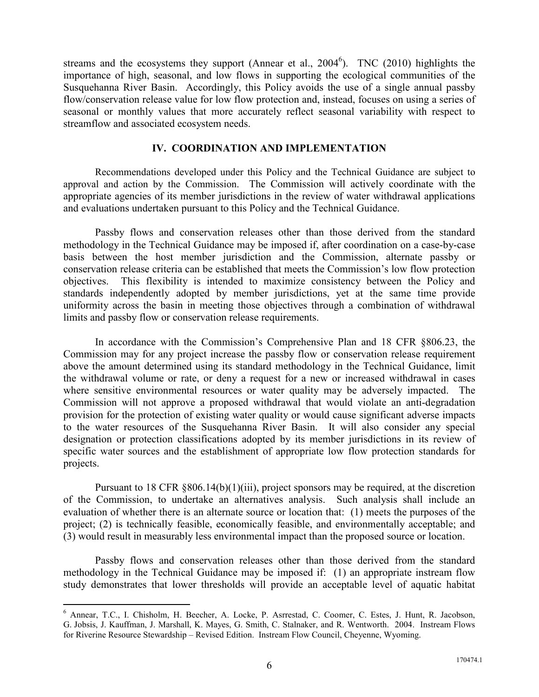streams and the ecosystems they support (Annear et al.,  $2004^6$ ). TNC (2010) highlights the importance of high, seasonal, and low flows in supporting the ecological communities of the Susquehanna River Basin. Accordingly, this Policy avoids the use of a single annual passby flow/conservation release value for low flow protection and, instead, focuses on using a series of seasonal or monthly values that more accurately reflect seasonal variability with respect to streamflow and associated ecosystem needs.

#### **IV. COORDINATION AND IMPLEMENTATION**

Recommendations developed under this Policy and the Technical Guidance are subject to approval and action by the Commission. The Commission will actively coordinate with the appropriate agencies of its member jurisdictions in the review of water withdrawal applications and evaluations undertaken pursuant to this Policy and the Technical Guidance.

Passby flows and conservation releases other than those derived from the standard methodology in the Technical Guidance may be imposed if, after coordination on a case-by-case basis between the host member jurisdiction and the Commission, alternate passby or conservation release criteria can be established that meets the Commission's low flow protection objectives. This flexibility is intended to maximize consistency between the Policy and standards independently adopted by member jurisdictions, yet at the same time provide uniformity across the basin in meeting those objectives through a combination of withdrawal limits and passby flow or conservation release requirements.

In accordance with the Commission's Comprehensive Plan and 18 CFR §806.23, the Commission may for any project increase the passby flow or conservation release requirement above the amount determined using its standard methodology in the Technical Guidance, limit the withdrawal volume or rate, or deny a request for a new or increased withdrawal in cases where sensitive environmental resources or water quality may be adversely impacted. The Commission will not approve a proposed withdrawal that would violate an anti-degradation provision for the protection of existing water quality or would cause significant adverse impacts to the water resources of the Susquehanna River Basin. It will also consider any special designation or protection classifications adopted by its member jurisdictions in its review of specific water sources and the establishment of appropriate low flow protection standards for projects.

Pursuant to 18 CFR  $\&806.14(b)(1)(iii)$ , project sponsors may be required, at the discretion of the Commission, to undertake an alternatives analysis. Such analysis shall include an evaluation of whether there is an alternate source or location that: (1) meets the purposes of the project; (2) is technically feasible, economically feasible, and environmentally acceptable; and (3) would result in measurably less environmental impact than the proposed source or location.

Passby flows and conservation releases other than those derived from the standard methodology in the Technical Guidance may be imposed if: (1) an appropriate instream flow study demonstrates that lower thresholds will provide an acceptable level of aquatic habitat

<u>.</u>

<sup>6</sup> Annear, T.C., I. Chisholm, H. Beecher, A. Locke, P. Asrrestad, C. Coomer, C. Estes, J. Hunt, R. Jacobson, G. Jobsis, J. Kauffman, J. Marshall, K. Mayes, G. Smith, C. Stalnaker, and R. Wentworth. 2004. Instream Flows for Riverine Resource Stewardship – Revised Edition. Instream Flow Council, Cheyenne, Wyoming.